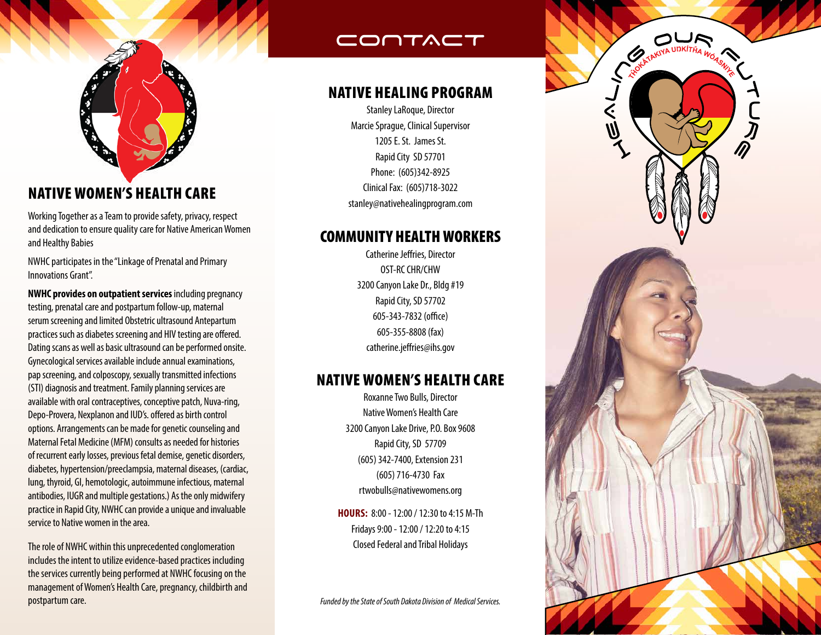

# NATIVE WOMEN'S HEALTH CARE

Working Together as a Team to provide safety, privacy, respect and dedication to ensure quality care for Native American Women and Healthy Babies

NWHC participates in the "Linkage of Prenatal and Primary Innovations Grant".

**NWHC provides on outpatient services** including pregnancy testing, prenatal care and postpartum follow-up, maternal serum screening and limited Obstetric ultrasound Antepartum practices such as diabetes screening and HIV testing are offered. Dating scans as well as basic ultrasound can be performed onsite. Gynecological services available include annual examinations, pap screening, and colposcopy, sexually transmitted infections (STI) diagnosis and treatment. Family planning services are available with oral contraceptives, conceptive patch, Nuva-ring, Depo-Provera, Nexplanon and IUD's. offered as birth control options. Arrangements can be made for genetic counseling and Maternal Fetal Medicine (MFM) consults as needed for histories of recurrent early losses, previous fetal demise, genetic disorders, diabetes, hypertension/preeclampsia, maternal diseases, (cardiac, lung, thyroid, GI, hemotologic, autoimmune infectious, maternal antibodies, IUGR and multiple gestations.) As the only midwifery practice in Rapid City, NWHC can provide a unique and invaluable service to Native women in the area.

The role of NWHC within this unprecedented conglomeration includes the intent to utilize evidence-based practices including the services currently being performed at NWHC focusing on the management of Women's Health Care, pregnancy, childbirth and postpartum care.

# CONTACT

## NATIVE HEALING PROGRAM

Stanley LaRoque, Director Marcie Sprague, Clinical Supervisor 1205 E. St. James St. Rapid City SD 57701 Phone: (605)342-8925 Clinical Fax: (605)718-3022 stanley@nativehealingprogram.com

## COMMUNITY HEALTH WORKERS

Catherine Jeffries, Director OST-RC CHR/CHW 3200 Canyon Lake Dr., Bldg #19 Rapid City, SD 57702 605-343-7832 (office) 605-355-8808 (fax) catherine.jeffries@ihs.gov

## NATIVE WOMEN'S HEALTH CARE

Roxanne Two Bulls, Director Native Women's Health Care 3200 Canyon Lake Drive, P.O. Box 9608 Rapid City, SD 57709 (605) 342-7400, Extension 231 (605) 716-4730 Fax rtwobulls@nativewomens.org

**HOURS:** 8:00 - 12:00 / 12:30 to 4:15 M-Th Fridays 9:00 - 12:00 / 12:20 to 4:15 Closed Federal and Tribal Holidays

*Funded by the State of South Dakota Division of Medical Services.*